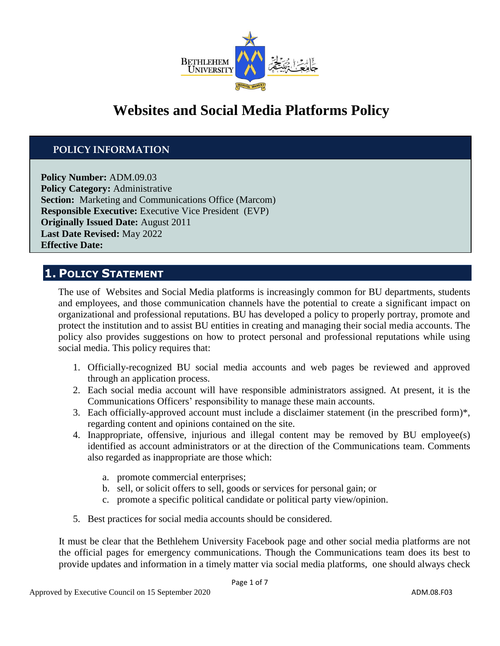

# **Websites and Social Media Platforms Policy**

### **POLICY INFORMATION**

**Policy Number:** ADM.09.03 **Policy Category:** Administrative **Section:** Marketing and Communications Office (Marcom) **Responsible Executive:** Executive Vice President (EVP) **Originally Issued Date:** August 2011 **Last Date Revised:** May 2022 **Effective Date:**

### **1. POLICY STATEMENT**

The use of Websites and Social Media platforms is increasingly common for BU departments, students and employees, and those communication channels have the potential to create a significant impact on organizational and professional reputations. BU has developed a policy to properly portray, promote and protect the institution and to assist BU entities in creating and managing their social media accounts. The policy also provides suggestions on how to protect personal and professional reputations while using social media. This policy requires that:

- 1. Officially-recognized BU social media accounts and web pages be reviewed and approved through an application process.
- 2. Each social media account will have responsible administrators assigned. At present, it is the Communications Officers' responsibility to manage these main accounts.
- 3. Each officially-approved account must include a disclaimer statement (in the prescribed form)\*, regarding content and opinions contained on the site.
- 4. Inappropriate, offensive, injurious and illegal content may be removed by BU employee(s) identified as account administrators or at the direction of the Communications team. Comments also regarded as inappropriate are those which:
	- a. promote commercial enterprises;
	- b. sell, or solicit offers to sell, goods or services for personal gain; or
	- c. promote a specific political candidate or political party view/opinion.
- 5. Best practices for social media accounts should be considered.

It must be clear that the Bethlehem University Facebook page and other social media platforms are not the official pages for emergency communications. Though the Communications team does its best to provide updates and information in a timely matter via social media platforms, one should always check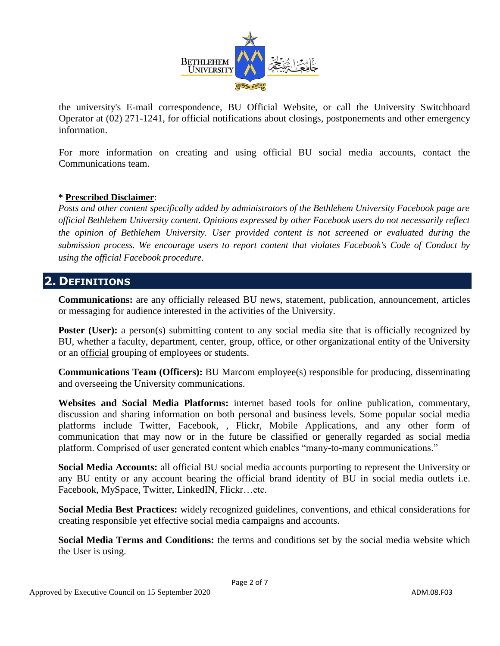

the university's E-mail correspondence, BU Official Website, or call the University Switchboard Operator at (02) 271-1241, for official notifications about closings, postponements and other emergency information.

For more information on creating and using official BU social media accounts, contact the Communications team.

### **\* Prescribed Disclaimer**:

*Posts and other content specifically added by administrators of the Bethlehem University Facebook page are official Bethlehem University content. Opinions expressed by other Facebook users do not necessarily reflect the opinion of Bethlehem University. User provided content is not screened or evaluated during the submission process. We encourage users to report content that violates Facebook's Code of Conduct by using the official Facebook procedure.* 

### **2. DEFINITIONS**

**Communications:** are any officially released BU news, statement, publication, announcement, articles or messaging for audience interested in the activities of the University.

**Poster (User):** a person(s) submitting content to any social media site that is officially recognized by BU, whether a faculty, department, center, group, office, or other organizational entity of the University or an official grouping of employees or students.

**Communications Team (Officers):** BU Marcom employee(s) responsible for producing, disseminating and overseeing the University communications.

**Websites and Social Media Platforms:** internet based tools for online publication, commentary, discussion and sharing information on both personal and business levels. Some popular social media platforms include Twitter, Facebook, , Flickr, Mobile Applications, and any other form of communication that may now or in the future be classified or generally regarded as social media platform. Comprised of user generated content which enables "many-to-many communications."

**Social Media Accounts:** all official BU social media accounts purporting to represent the University or any BU entity or any account bearing the official brand identity of BU in social media outlets i.e. Facebook, MySpace, Twitter, LinkedIN, Flickr…etc.

**Social Media Best Practices:** widely recognized guidelines, conventions, and ethical considerations for creating responsible yet effective social media campaigns and accounts.

**Social Media Terms and Conditions:** the terms and conditions set by the social media website which the User is using.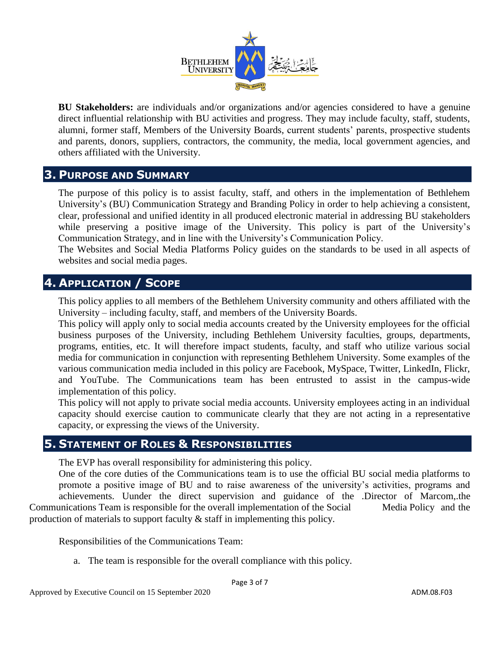

**BU Stakeholders:** are individuals and/or organizations and/or agencies considered to have a genuine direct influential relationship with BU activities and progress. They may include faculty, staff, students, alumni, former staff, Members of the University Boards, current students' parents, prospective students and parents, donors, suppliers, contractors, the community, the media, local government agencies, and others affiliated with the University.

### **3. PURPOSE AND SUMMARY**

The purpose of this policy is to assist faculty, staff, and others in the implementation of Bethlehem University's (BU) Communication Strategy and Branding Policy in order to help achieving a consistent, clear, professional and unified identity in all produced electronic material in addressing BU stakeholders while preserving a positive image of the University. This policy is part of the University's Communication Strategy, and in line with the University's Communication Policy.

The Websites and Social Media Platforms Policy guides on the standards to be used in all aspects of websites and social media pages.

# **4. APPLICATION / SCOPE**

This policy applies to all members of the Bethlehem University community and others affiliated with the University – including faculty, staff, and members of the University Boards.

This policy will apply only to social media accounts created by the University employees for the official business purposes of the University, including Bethlehem University faculties, groups, departments, programs, entities, etc. It will therefore impact students, faculty, and staff who utilize various social media for communication in conjunction with representing Bethlehem University. Some examples of the various communication media included in this policy are Facebook, MySpace, Twitter, LinkedIn, Flickr, and YouTube. The Communications team has been entrusted to assist in the campus-wide implementation of this policy.

This policy will not apply to private social media accounts. University employees acting in an individual capacity should exercise caution to communicate clearly that they are not acting in a representative capacity, or expressing the views of the University.

## **5. STATEMENT OF ROLES & RESPONSIBILITIES**

The EVP has overall responsibility for administering this policy.

One of the core duties of the Communications team is to use the official BU social media platforms to promote a positive image of BU and to raise awareness of the university's activities, programs and achievements. Uunder the direct supervision and guidance of the .Director of Marcom,.the Communications Team is responsible for the overall implementation of the Social Media Policy and the production of materials to support faculty & staff in implementing this policy.

Responsibilities of the Communications Team:

a. The team is responsible for the overall compliance with this policy.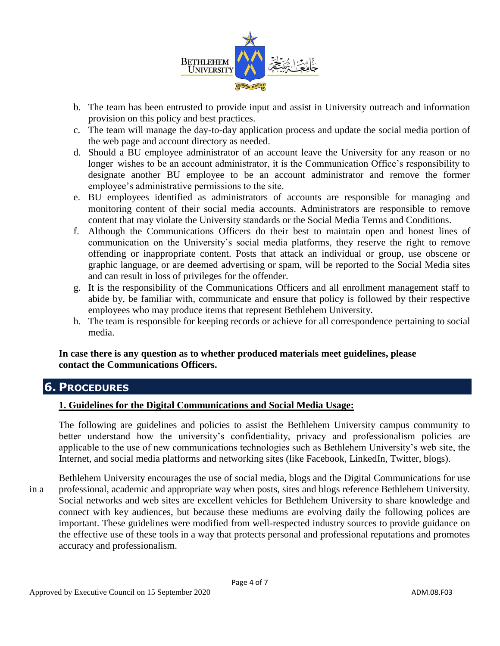

- b. The team has been entrusted to provide input and assist in University outreach and information provision on this policy and best practices.
- c. The team will manage the day-to-day application process and update the social media portion of the web page and account directory as needed.
- d. Should a BU employee administrator of an account leave the University for any reason or no longer wishes to be an account administrator, it is the Communication Office's responsibility to designate another BU employee to be an account administrator and remove the former employee's administrative permissions to the site.
- e. BU employees identified as administrators of accounts are responsible for managing and monitoring content of their social media accounts. Administrators are responsible to remove content that may violate the University standards or the Social Media Terms and Conditions.
- f. Although the Communications Officers do their best to maintain open and honest lines of communication on the University's social media platforms, they reserve the right to remove offending or inappropriate content. Posts that attack an individual or group, use obscene or graphic language, or are deemed advertising or spam, will be reported to the Social Media sites and can result in loss of privileges for the offender.
- g. It is the responsibility of the Communications Officers and all enrollment management staff to abide by, be familiar with, communicate and ensure that policy is followed by their respective employees who may produce items that represent Bethlehem University.
- h. The team is responsible for keeping records or achieve for all correspondence pertaining to social media.

### **In case there is any question as to whether produced materials meet guidelines, please contact the Communications Officers.**

# **6. PROCEDURES**

#### **1. Guidelines for the Digital Communications and Social Media Usage:**

The following are guidelines and policies to assist the Bethlehem University campus community to better understand how the university's confidentiality, privacy and professionalism policies are applicable to the use of new communications technologies such as Bethlehem University's web site, the Internet, and social media platforms and networking sites (like Facebook, LinkedIn, Twitter, blogs).

Bethlehem University encourages the use of social media, blogs and the Digital Communications for use in a professional, academic and appropriate way when posts, sites and blogs reference Bethlehem University. Social networks and web sites are excellent vehicles for Bethlehem University to share knowledge and connect with key audiences, but because these mediums are evolving daily the following polices are important. These guidelines were modified from well-respected industry sources to provide guidance on the effective use of these tools in a way that protects personal and professional reputations and promotes accuracy and professionalism.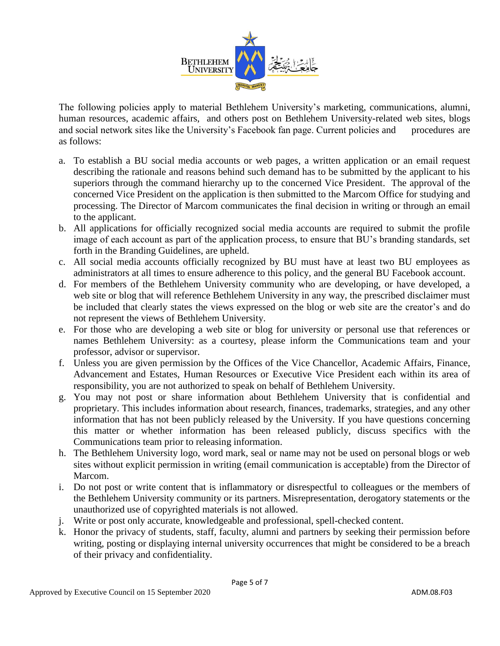

The following policies apply to material Bethlehem University's marketing, communications, alumni, human resources, academic affairs, and others post on Bethlehem University-related web sites, blogs and social network sites like the University's Facebook fan page. Current policies and procedures are as follows:

- a. To establish a BU social media accounts or web pages, a written application or an email request describing the rationale and reasons behind such demand has to be submitted by the applicant to his superiors through the command hierarchy up to the concerned Vice President. The approval of the concerned Vice President on the application is then submitted to the Marcom Office for studying and processing. The Director of Marcom communicates the final decision in writing or through an email to the applicant.
- b. All applications for officially recognized social media accounts are required to submit the profile image of each account as part of the application process, to ensure that BU's branding standards, set forth in the Branding Guidelines, are upheld.
- c. All social media accounts officially recognized by BU must have at least two BU employees as administrators at all times to ensure adherence to this policy, and the general BU Facebook account.
- d. For members of the Bethlehem University community who are developing, or have developed, a web site or blog that will reference Bethlehem University in any way, the prescribed disclaimer must be included that clearly states the views expressed on the blog or web site are the creator's and do not represent the views of Bethlehem University.
- e. For those who are developing a web site or blog for university or personal use that references or names Bethlehem University: as a courtesy, please inform the Communications team and your professor, advisor or supervisor.
- f. Unless you are given permission by the Offices of the Vice Chancellor, Academic Affairs, Finance, Advancement and Estates, Human Resources or Executive Vice President each within its area of responsibility, you are not authorized to speak on behalf of Bethlehem University.
- g. You may not post or share information about Bethlehem University that is confidential and proprietary. This includes information about research, finances, trademarks, strategies, and any other information that has not been publicly released by the University. If you have questions concerning this matter or whether information has been released publicly, discuss specifics with the Communications team prior to releasing information.
- h. The Bethlehem University logo, word mark, seal or name may not be used on personal blogs or web sites without explicit permission in writing (email communication is acceptable) from the Director of Marcom.
- i. Do not post or write content that is inflammatory or disrespectful to colleagues or the members of the Bethlehem University community or its partners. Misrepresentation, derogatory statements or the unauthorized use of copyrighted materials is not allowed.
- j. Write or post only accurate, knowledgeable and professional, spell-checked content.
- k. Honor the privacy of students, staff, faculty, alumni and partners by seeking their permission before writing, posting or displaying internal university occurrences that might be considered to be a breach of their privacy and confidentiality.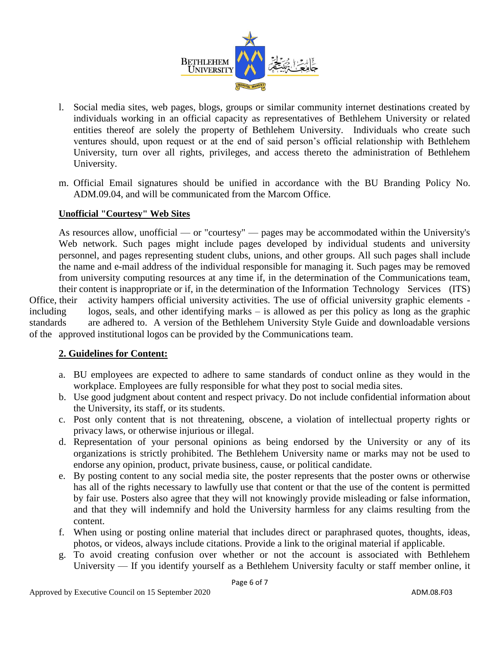

- l. Social media sites, web pages, blogs, groups or similar community internet destinations created by individuals working in an official capacity as representatives of Bethlehem University or related entities thereof are solely the property of Bethlehem University. Individuals who create such ventures should, upon request or at the end of said person's official relationship with Bethlehem University, turn over all rights, privileges, and access thereto the administration of Bethlehem University.
- m. Official Email signatures should be unified in accordance with the BU Branding Policy No. ADM.09.04, and will be communicated from the Marcom Office.

#### **Unofficial "Courtesy" Web Sites**

As resources allow, unofficial — or "courtesy" — pages may be accommodated within the University's Web network. Such pages might include pages developed by individual students and university personnel, and pages representing student clubs, unions, and other groups. All such pages shall include the name and e-mail address of the individual responsible for managing it. Such pages may be removed from university computing resources at any time if, in the determination of the Communications team, their content is inappropriate or if, in the determination of the Information Technology Services (ITS) Office, their activity hampers official university activities. The use of official university graphic elements including logos, seals, and other identifying marks – is allowed as per this policy as long as the graphic standards are adhered to. A version of the Bethlehem University Style Guide and downloadable versions of the approved institutional logos can be provided by the Communications team.

### **2. Guidelines for Content:**

- a. BU employees are expected to adhere to same standards of conduct online as they would in the workplace. Employees are fully responsible for what they post to social media sites.
- b. Use good judgment about content and respect privacy. Do not include confidential information about the University, its staff, or its students.
- c. Post only content that is not threatening, obscene, a violation of intellectual property rights or privacy laws, or otherwise injurious or illegal.
- d. Representation of your personal opinions as being endorsed by the University or any of its organizations is strictly prohibited. The Bethlehem University name or marks may not be used to endorse any opinion, product, private business, cause, or political candidate.
- e. By posting content to any social media site, the poster represents that the poster owns or otherwise has all of the rights necessary to lawfully use that content or that the use of the content is permitted by fair use. Posters also agree that they will not knowingly provide misleading or false information, and that they will indemnify and hold the University harmless for any claims resulting from the content.
- f. When using or posting online material that includes direct or paraphrased quotes, thoughts, ideas, photos, or videos, always include citations. Provide a link to the original material if applicable.
- g. To avoid creating confusion over whether or not the account is associated with Bethlehem University — If you identify yourself as a Bethlehem University faculty or staff member online, it